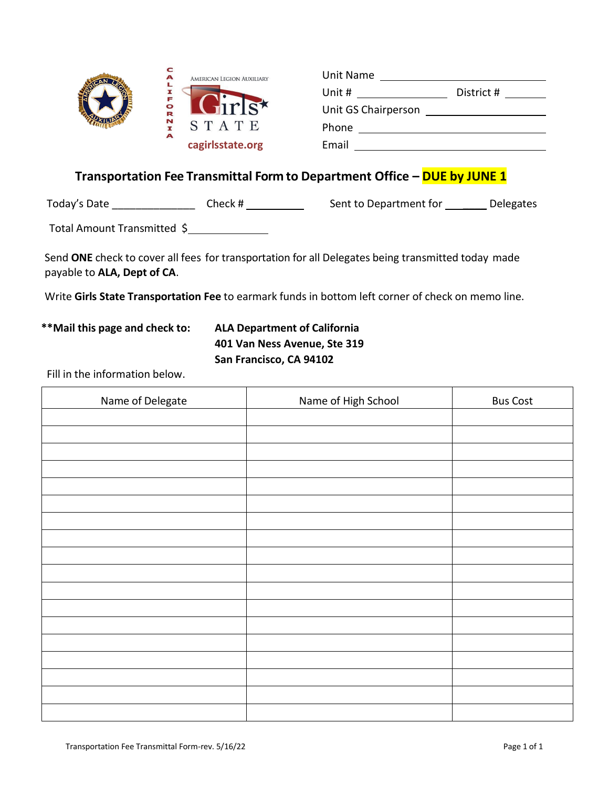| A<br>AMERICAN LEGION AUXILIARY | Unit Name            |
|--------------------------------|----------------------|
| I                              | Unit #<br>District # |
| <b>Firls*</b><br>$\frac{1}{R}$ | Unit GS Chairperson  |
| N<br>STATE                     | Phone                |
| A<br>cagirlsstate.org          | Email                |

## **Transportation Fee Transmittal Form to Department Office – DUE by JUNE 1**

Today's Date \_\_\_\_\_\_\_\_\_\_\_\_\_\_\_\_\_\_ Check # \_\_\_\_\_\_\_\_\_\_\_\_\_ Sent to Department for \_\_\_\_\_\_\_\_ Delegates

Total Amount Transmitted \$

Send **ONE** check to cover all fees for transportation for all Delegates being transmitted today made payable to **ALA, Dept of CA**.

Write **Girls State Transportation Fee** to earmark funds in bottom left corner of check on memo line.

**\*\*Mail this page and check to: ALA Department of California**

## **401 Van Ness Avenue, Ste 319 San Francisco, CA 94102**

Fill in the information below.

| Name of Delegate | Name of High School | <b>Bus Cost</b> |  |  |
|------------------|---------------------|-----------------|--|--|
|                  |                     |                 |  |  |
|                  |                     |                 |  |  |
|                  |                     |                 |  |  |
|                  |                     |                 |  |  |
|                  |                     |                 |  |  |
|                  |                     |                 |  |  |
|                  |                     |                 |  |  |
|                  |                     |                 |  |  |
|                  |                     |                 |  |  |
|                  |                     |                 |  |  |
|                  |                     |                 |  |  |
|                  |                     |                 |  |  |
|                  |                     |                 |  |  |
|                  |                     |                 |  |  |
|                  |                     |                 |  |  |
|                  |                     |                 |  |  |
|                  |                     |                 |  |  |
|                  |                     |                 |  |  |